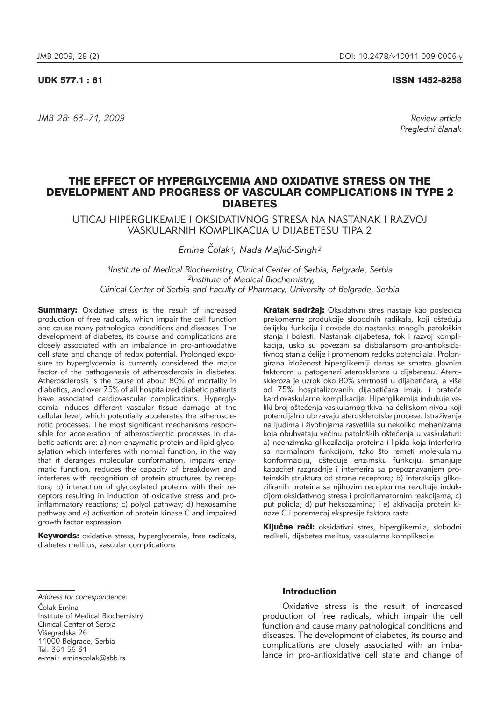# UDK 577.1 : 61 ISSN 1452-8258

*JMB 28: 63–71, 2009 Review article*

*Pregledni ~lanak*

# THE EFFECT OF HYPERGLYCEMIA AND OXIDATIVE STRESS ON THE DEVELOPMENT AND PROGRESS OF VASCULAR COMPLICATIONS IN TYPE 2 DIABETES

UTICAJ HIPERGLIKEMIJE I OKSIDATIVNOG STRESA NA NASTANAK I RAZVOJ VASKULARNIH KOMPLIKACIJA U DIJABETESU TIPA 2

*Emina ^olak1, Nada Majki}-Singh2*

*1Institute of Medical Biochemistry, Clinical Center of Serbia, Belgrade, Serbia 2Institute of Medical Biochemistry, Clinical Center of Serbia and Faculty of Pharmacy, University of Belgrade, Serbia*

**Summary:** Oxidative stress is the result of increased production of free radicals, which impair the cell function and cause many pathological conditions and diseases. The development of diabetes, its course and complications are closely associated with an imbalance in pro-antioxidative cell state and change of redox potential. Prolonged exposure to hyperglycemia is currently considered the major factor of the pathogenesis of atherosclerosis in diabetes. Atherosclerosis is the cause of about 80% of mortality in diabetics, and over 75% of all hospitalized diabetic patients have associated cardiovascular complications. Hyperglycemia induces different vascular tissue damage at the cellular level, which potentially accelerates the atherosclerotic processes. The most significant mechanisms responsible for acceleration of atherosclerotic processes in diabetic patients are: a) non-enzymatic protein and lipid glycosylation which interferes with normal function, in the way that it deranges molecular conformation, impairs enzymatic function, reduces the capacity of breakdown and interferes with recognition of protein structures by receptors; b) interaction of glycosylated proteins with their receptors resulting in induction of oxidative stress and proinflammatory reactions; c) polyol pathway; d) hexosamine pathway and e) activation of protein kinase C and impaired growth factor expression.

Keywords: oxidative stress, hyperglycemia, free radicals, diabetes mellitus, vascular complications

Kratak sadržaj: Oksidativni stres nastaje kao posledica prekomerne produkcije slobodnih radikala, koji oštećuju .<br>ćelijsku funkciju i dovode do nastanka mnogih patoloških stanja i bolesti. Nastanak dijabetesa, tok i razvoj komplikacija, usko su povezani sa disbalansom pro-antioksidativnog stanja ćelije i promenom redoks potencijala. Prolongirana izloženost hiperglikemiji danas se smatra glavnim faktorom u patogenezi ateroskleroze u dijabetesu. Ateroskleroza je uzrok oko 80% smrtnosti u dijabetičara, a više od 75% hospitalizovanih dijabetičara imaju i prateće kardiovaskularne komplikacije. Hiperglikemija indukuje veliki broj oštećenja vaskularnog tkiva na ćelijskom nivou koji potencijalno ubrzavaju aterosklerotske procese. Istraživanja na ljudima i životinjama rasvetlila su nekoliko mehanizama koja obuhvataju većinu patoloških oštećenja u vaskulaturi: a) neenzimska glikozilacija proteina i lipida koja interferira sa normalnom funkcijom, tako što remeti molekularnu konformaciju, oštećuje enzimsku funkciju, smanjuje kapacitet razgradnje i interferira sa prepoznavanjem proteinskih struktura od strane receptora; b) interakcija glikoziliranih proteina sa njihovim receptorima rezultuje indukcijom oksidativnog stresa i proinflamatornim reakcijama; c) put poliola; d) put heksozamina; i e) aktivacija protein kinaze C i poremećaj ekspresije faktora rasta.

Ključne reči: oksidativni stres, hiperglikemija, slobodni ra dikali, dijabetes melitus, vaskularne komplikacije

*Address for correspondence:*

Čolak Emina Institute of Medical Biochemistry Clinical Center of Serbia Višegradska 26 11000 Belgrade, Serbia Tel: 361 56 31 e-mail: eminacolak@sbb.rs

## **Introduction**

Oxidative stress is the result of increased production of free radicals, which impair the cell function and cause many pathological conditions and diseases. The development of diabetes, its course and complications are closely associated with an imbalance in pro-antioxidative cell state and change of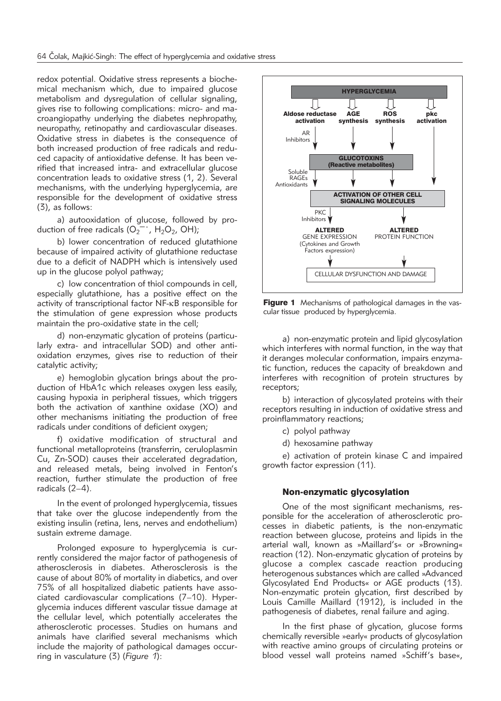redox potential. Oxidative stress represents a biochemical mechanism which, due to impaired glucose metabolism and dysregulation of cellular signaling, gives rise to following complications: micro- and macro angiopathy underlying the diabetes nephropathy, neuro pathy, retinopathy and cardiovascular diseases. Oxidative stress in diabetes is the consequence of both increased production of free radicals and reduced capacity of antioxidative defense. It has been verified that increased intra- and extracellular glucose concentration leads to oxidative stress (1, 2). Several mechanisms, with the underlying hyperglycemia, are responsible for the development of oxidative stress (3), as follows:

a) autooxidation of glucose, followed by production of free radicals  $(O_2^-$ ;  $H_2O_2$ , OH);

b) lower concentration of reduced glutathione because of impaired activity of glutathione reductase due to a deficit of NADPH which is intensively used up in the glucose polyol pathway;

c) low concentration of thiol compounds in cell, especially glutathione, has a positive effect on the activity of transcriptional factor NF-kB responsible for the stimulation of gene expression whose products maintain the pro-oxidative state in the cell;

d) non-enzymatic glycation of proteins (particularly extra- and intracellular SOD) and other antioxidation enzymes, gives rise to reduction of their catalytic activity;

e) hemoglobin glycation brings about the production of HbA1c which releases oxygen less easily, causing hypoxia in peripheral tissues, which triggers both the activation of xanthine oxidase (XO) and other mechanisms initiating the production of free radicals under conditions of deficient oxygen;

f) oxidative modification of structural and functional metalloproteins (transferrin, ceruloplasmin Cu, Zn-SOD) causes their accelerated degradation, and released metals, being involved in Fenton's reaction, further stimulate the production of free radicals (2–4).

In the event of prolonged hyperglycemia, tissues that take over the glucose independently from the existing insulin (retina, lens, nerves and endothelium) sustain extreme damage.

Prolonged exposure to hyperglycemia is currently considered the major factor of pathogenesis of atherosclerosis in diabetes. Atherosclerosis is the cause of about 80% of mortality in diabetics, and over 75% of all hospitalized diabetic patients have associated cardiovascular complications (7-10). Hypergly cemia induces different vascular tissue damage at the cellular level, which potentially accelerates the atherosclerotic processes. Studies on humans and animals have clarified several mechanisms which include the majority of pathological damages occurring in vasculature (3) (*Figure 1*):



Figure 1 Mechanisms of pathological damages in the vascular tissue produced by hyperglycemia.

a) non-enzymatic protein and lipid glycosylation which interferes with normal function, in the way that it deranges molecular conformation, impairs enzymatic function, reduces the capacity of breakdown and interferes with recognition of protein structures by receptors;

b) interaction of glycosylated proteins with their receptors resulting in induction of oxidative stress and proinflammatory reactions;

- c) polyol pathway
- d) hexosamine pathway

e) activation of protein kinase C and impaired growth factor expression (11).

# Non-enzymatic glycosylation

One of the most significant mechanisms, responsible for the acceleration of atherosclerotic processes in diabetic patients, is the non-enzymatic reaction between glucose, proteins and lipids in the arterial wall, known as »Maillard's« or »Browning« reaction (12). Non-enzymatic glycation of proteins by glucose a complex cascade reaction producing heterogenous substances which are called »Advanced Gly cosylated End Products« or AGE products (13). Non-enzymatic protein glycation, first described by Louis Camille Maillard (1912), is included in the pathogenesis of diabetes, renal failure and aging.

In the first phase of glycation, glucose forms chemically reversible »early« products of glycosylation with reactive amino groups of circulating proteins or blood vessel wall proteins named »Schiff's base«,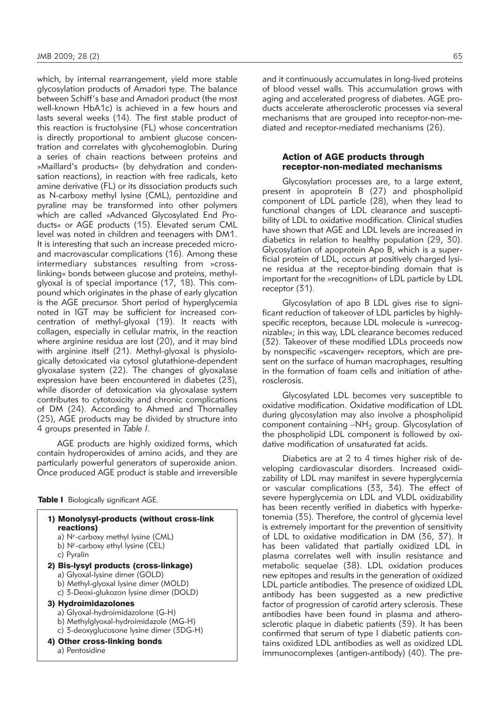which, by internal rearrangement, yield more stable glycosylation products of Amadori type. The balance between Schiff's base and Amadori product (the most well-known HbA1c) is achieved in a few hours and lasts several weeks (14). The first stable product of this reaction is fructolysine (FL) whose concentration is directly proportional to ambient glucose concentration and correlates with glycohemoglobin. During a series of chain reactions between proteins and »Maillard's products« (by dehydration and condensation reactions), in reaction with free radicals, keto amine derivative (FL) or its dissociation products such as N-carboxy methyl lysine (CML), pentozidine and pyraline may be transformed into other polymers which are called »Advanced Glycosylated End Products« or AGE products (15). Elevated serum CML level was noted in children and teenagers with DM1. It is interesting that such an increase preceded microand macrovascular complications (16). Among these intermediary substances resulting from »crosslinking« bonds between glucose and proteins, methylglyoxal is of special importance (17, 18). This compound which originates in the phase of early glycation is the AGE precursor. Short period of hyperglycemia noted in IGT may be sufficient for increased concentration of methyl-glyoxal (19). It reacts with collagen, especially in cellular matrix, in the reaction where arginine residua are lost (20), and it may bind with arginine itself (21). Methyl-glyoxal is physiologically detoxicated via cytosol glutathione-dependent glyoxalase system (22). The changes of glyoxalase expression have been encountered in diabetes (23), while disorder of detoxication via glyoxalase system contributes to cytotoxicity and chronic complications of DM (24). According to Ahmed and Thornalley (25), AGE products may be divided by structure into 4 groups presented in *Table I*.

AGE products are highly oxidized forms, which contain hydroperoxides of amino acids, and they are particularly powerful generators of superoxide anion. Once produced AGE product is stable and irreversible

Table I Biologically significant AGE.

- 1) Monolysyl-products (without cross-link reactions)
	- a) Nε-carboxy methyl lysine (CML) b) N<sup>ε</sup>-carboxy ethyl lysine (CEL)
	- c) Pyralin
- 2) Bis-lysyl products (cross-linkage)
	- a) Glyoxal-lysine dimer (GOLD)
	- b) Methyl-glyoxal lysine dimer (MOLD)
	- c) 3-Deoxi-glukozon lysine dimer (DOLD)
- 3) Hydroimidazolones
	- a) Glyoxal-hydroimidazolone (G-H)
	- b) Methylglyoxal-hydroimidazole (MG-H)
	- c) 3-deoxyglucosone lysine dimer (3DG-H)
- 4) Other cross-linking bonds
	- a) Pentosidine

and it continuously accumulates in long-lived proteins of blood vessel walls. This accumulation grows with aging and accelerated progress of diabetes. AGE products accelerate atherosclerotic processes via several mechanisms that are grouped into receptor-non-mediated and receptor-mediated mechanisms (26).

### Action of AGE products through receptor-non-mediated mechanisms

Glycosylation processes are, to a large extent, present in apoprotein B (27) and phospholipid component of LDL particle (28), when they lead to functional changes of LDL clearance and susceptibility of LDL to oxidative modification. Clinical studies have shown that AGE and LDL levels are increased in diabetics in relation to healthy population (29, 30). Glycosylation of apoprotein Apo B, which is a super ficial protein of LDL, occurs at positively charged lysine residua at the receptor-binding domain that is important for the »recognition« of LDL particle by LDL receptor (31).

Glycosylation of apo B LDL gives rise to significant reduction of takeover of LDL particles by highlyspecific receptors, because LDL molecule is »unrecoqnizable«; in this way, LDL clearance becomes reduced (32). Takeover of these modified LDLs proceeds now by nonspecific »scavenger« receptors, which are present on the surface of human macrophages, resulting in the formation of foam cells and initiation of atherosclerosis.

Glycosylated LDL becomes very susceptible to oxidative modification. Oxidative modification of LDL during glycosylation may also involve a phospholipid component containing  $-NH<sub>2</sub>$  group. Glycosylation of the phospholipid LDL component is followed by oxidative modification of unsaturated fat acids.

Diabetics are at 2 to 4 times higher risk of developing cardiovascular disorders. Increased oxidizability of LDL may manifest in severe hyperglycemia or vascular complications (33, 34). The effect of severe hyperglycemia on LDL and VLDL oxidizability has been recently verified in diabetics with hyperketonemia (35). Therefore, the control of glycemia level is extremely important for the prevention of sensitivity of LDL to oxidative modification in DM (36, 37). It has been validated that partially oxidized LDL in plasma correlates well with insulin resistance and metabolic sequelae (38). LDL oxidation produces new epitopes and results in the generation of oxidized LDL particle antibodies. The presence of oxidized LDL antibody has been suggested as a new predictive factor of progression of carotid artery sclerosis. These antibodies have been found in plasma and atherosclerotic plaque in diabetic patients (39). It has been confirmed that serum of type I diabetic patients contains oxidized LDL antibodies as well as oxidized LDL immunocomplexes (antigen-antibody) (40). The pre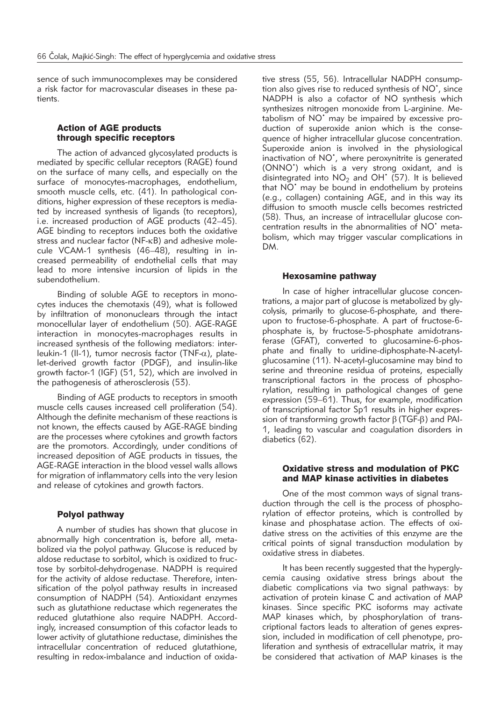sence of such immunocomplexes may be considered a risk factor for macrovascular diseases in these patients.

# Action of AGE products through specific receptors

The action of advanced glycosylated products is mediated by specific cellular receptors (RAGE) found on the surface of many cells, and especially on the surface of monocytes-macrophages, endothelium, smooth muscle cells, etc. (41). In pathological conditions, higher expression of these receptors is mediated by increased synthesis of ligands (to receptors), i.e. increased production of AGE products (42–45). AGE binding to receptors induces both the oxidative stress and nuclear factor ( $NF$ - $\kappa$ B) and adhesive molecule VCAM-1 synthesis (46-48), resulting in increased permeability of endothelial cells that may lead to more intensive incursion of lipids in the subendothelium.

Binding of soluble AGE to receptors in monocytes induces the chemotaxis (49), what is followed by infiltration of mononuclears through the intact monocellular layer of endothelium (50). AGE-RAGE interaction in monocytes-macrophages results in increased synthesis of the following mediators: interleukin-1 (II-1), tumor necrosis factor (TNF- $\alpha$ ), platelet-derived growth factor (PDGF), and insulin-like growth factor-1 (IGF) (51, 52), which are involved in the pathogenesis of atherosclerosis (53).

Binding of AGE products to receptors in smooth muscle cells causes increased cell proliferation (54). Although the definite mechanism of these reactions is not known, the effects caused by AGE-RAGE binding are the processes where cytokines and growth factors are the promotors. Accordingly, under conditions of incre ased deposition of AGE products in tissues, the AGE-RAGE interaction in the blood vessel walls allows for migration of inflammatory cells into the very lesion and release of cytokines and growth factors.

### Polyol pathway

A number of studies has shown that glucose in abnormally high concentration is, before all, metabolized via the polyol pathway. Glucose is reduced by aldose reductase to sorbitol, which is oxidized to fructose by sorbitol-dehydrogenase. NADPH is required for the activity of aldose reductase. Therefore, intensification of the polyol pathway results in increased consum ption of NADPH (54). Antioxidant enzymes such as glutathione reductase which regenerates the reduced glutathione also require NADPH. Accordingly, increased consumption of this cofactor leads to lower activity of glutathione reductase, diminishes the intracellular concentration of reduced glutathione, resulting in redox-imbalance and induction of oxida-

tive stress (55, 56). Intracellular NADPH consumption also gives rise to reduced synthesis of NO<sup>\*</sup>, since NADPH is also a cofactor of NO synthesis which synthesizes nitrogen monoxide from L-arginine. Metabolism of NO<sup>•</sup> may be impaired by excessive production of superoxide anion which is the consequence of higher intracellular glucose concentration. Superoxide anion is involved in the physiological inactivation of NO<sup>\*</sup>, where peroxynitrite is generated (ONNO• ) which is a very strong oxidant, and is disintegrated into  $NO<sub>2</sub>$  and OH<sup> $*$ </sup> (57). It is believed that NO<sup>•</sup> may be bound in endothelium by proteins (e.g., collagen) containing AGE, and in this way its diffusion to smooth muscle cells becomes restricted (58). Thus, an increase of intracellular glucose concentration results in the abnormalities of  $NO<sup>•</sup>$  metabolism, which may trigger vascular complications in DM.

### Hexosamine pathway

In case of higher intracellular glucose concentrations, a major part of glucose is metabolized by glycolysis, primarily to glucose-6-phosphate, and thereupon to fructose-6-phosphate. A part of fructose-6 phosphate is, by fructose-5-phosphate amidotransferase (GFAT), converted to glucosamine-6-phosphate and finally to uridine-diphosphate-N-acetylglucosa mine (11). N-acetyl-glucosamine may bind to serine and threonine residua of proteins, especially transcriptional factors in the process of phosphorylation, resulting in pathological changes of gene expression (59–61). Thus, for example, modification of transcriptional factor Sp1 results in higher expression of transforming growth factor  $\beta$  (TGF- $\beta$ ) and PAI-1, leading to vascular and coagulation disorders in diabetics (62).

#### Oxidative stress and modulation of PKC and MAP kinase activities in diabetes

One of the most common ways of signal transduction through the cell is the process of phosphorylation of effector proteins, which is controlled by kinase and phosphatase action. The effects of oxidative stress on the activities of this enzyme are the critical points of signal transduction modulation by oxidative stress in diabetes.

It has been recently suggested that the hyperglycemia causing oxidative stress brings about the diabetic complications via two signal pathways: by activation of protein kinase C and activation of MAP kinases. Since specific PKC isoforms may activate MAP kinases which, by phosphorylation of transcriptional factors leads to alteration of genes expression, included in modification of cell phenotype, proliferation and synthesis of extracellular matrix, it may be considered that activation of MAP kinases is the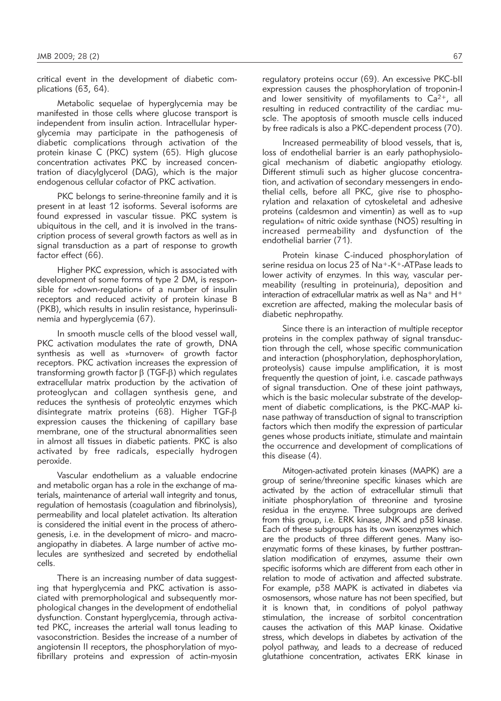critical event in the development of diabetic complications (63, 64).

Metabolic sequelae of hyperglycemia may be manifested in those cells where glucose transport is independent from insulin action. Intracellular hyperglycemia may participate in the pathogenesis of diabetic complications through activation of the protein kinase C (PKC) system (65). High glucose concentration activates PKC by increased concentration of diacylglycerol (DAG), which is the major endogenous cellular cofactor of PKC activation.

PKC belongs to serine-threonine family and it is present in at least 12 isoforms. Several isoforms are found expressed in vascular tissue. PKC system is ubiquitous in the cell, and it is involved in the transcription process of several growth factors as well as in signal transduction as a part of response to growth factor effect (66).

Higher PKC expression, which is associated with development of some forms of type 2 DM, is responsible for »down-regulation« of a number of insulin receptors and reduced activity of protein kinase B (PKB), which results in insulin resistance, hyperinsulinemia and hyperglycemia (67).

In smooth muscle cells of the blood vessel wall, PKC activation modulates the rate of growth, DNA synt hesis as well as »turnover« of growth factor receptors. PKC activation increases the expression of transforming growth factor  $\beta$  (TGF- $\beta$ ) which regulates extracellular matrix production by the activation of proteoglycan and collagen synthesis gene, and reduces the synthesis of proteolytic enzymes which disintegrate matrix proteins (68). Higher TGF- $\beta$ expression causes the thickening of capillary base membrane, one of the structural abnormalities seen in almost all tissues in diabetic patients. PKC is also activated by free radicals, especially hydrogen peroxide.

Vascular endothelium as a valuable endocrine and metabolic organ has a role in the exchange of materials, maintenance of arterial wall integrity and tonus, regulation of hemostasis (coagulation and fibrinolysis), permeability and local platelet activation. Its alteration is considered the initial event in the process of atherogenesis, i.e. in the development of micro- and macroangiopathy in diabetes. A large number of active molecules are synthesized and secreted by endothelial cells.

There is an increasing number of data suggesting that hyperglycemia and PKC activation is associated with premorphological and subsequently morphological changes in the development of endothelial dysfunction. Constant hyperglycemia, through activated PKC, increases the arterial wall tonus leading to vasoconstriction. Besides the increase of a number of angiotensin II receptors, the phosphorylation of myofibrillary proteins and expression of actin-myosin regulatory proteins occur (69). An excessive PKC-bII expression causes the phosphorylation of troponin-I and lower sensitivity of myofilaments to  $Ca^{2+}$ , all resulting in reduced contractility of the cardiac muscle. The apoptosis of smooth muscle cells induced by free radicals is also a PKC-dependent process (70).

Increased permeability of blood vessels, that is, loss of endothelial barrier is an early pathophysiological mechanism of diabetic angiopathy etiology. Different stimuli such as higher glucose concentration, and activation of secondary messengers in endothelial cells, before all PKC, give rise to phosphorylation and relaxation of cytoskeletal and adhesive proteins (caldesmon and vimentin) as well as to »up regulation« of nitric oxide synthase (NOS) resulting in increased permeability and dysfunction of the endothelial barrier (71).

Protein kinase C-induced phosphorylation of serine residua on locus 23 of Na<sup>+-</sup>K<sup>+</sup>-ATPase leads to lower activity of enzymes. In this way, vascular permeability (resulting in proteinuria), deposition and interaction of extracellular matrix as well as  $Na<sup>+</sup>$  and  $H<sup>+</sup>$ excretion are affected, making the molecular basis of diabetic nephropathy.

Since there is an interaction of multiple receptor proteins in the complex pathway of signal transduction through the cell, whose specific communication and interaction (phosphorylation, dephosphorylation, proteolysis) cause impulse amplification, it is most frequently the question of joint, i.e. cascade pathways of signal transduction. One of these joint pathways, which is the basic molecular substrate of the development of diabetic complications, is the PKC-MAP kinase pathway of transduction of signal to transcription factors which then modify the expression of particular genes whose products initiate, stimulate and maintain the occurrence and development of complications of this disease (4).

Mitogen-activated protein kinases (MAPK) are a group of serine/threonine specific kinases which are activated by the action of extracellular stimuli that initiate phosphorylation of threonine and tyrosine residua in the enzyme. Three subgroups are derived from this group, i.e. ERK kinase, JNK and p38 kinase. Each of these subgroups has its own isoenzymes which are the products of three different genes. Many isoenzymatic forms of these kinases, by further posttranslation modification of enzymes, assume their own specific isoforms which are different from each other in relation to mode of activation and affected substrate. For example, p38 MAPK is activated in diabetes via osmosensors, whose nature has not been specified, but it is known that, in conditions of polyol pathway stimulation, the increase of sorbitol concentration causes the activation of this MAP kinase. Oxidative stress, which develops in diabetes by activation of the polyol pathway, and leads to a decrease of reduced glutathione concentration, activates ERK kinase in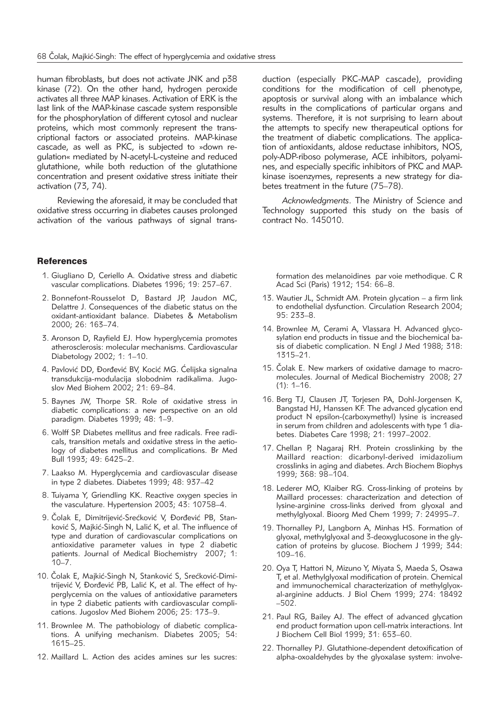human fibroblasts, but does not activate JNK and p38 kinase (72). On the other hand, hydrogen peroxide activates all three MAP kinases. Activation of ERK is the last link of the MAP-kinase cascade system responsible for the phosphorylation of different cytosol and nuclear proteins, which most commonly represent the transcriptional factors or associated proteins. MAP-kinase cascade, as well as PKC, is subjected to »down regulation« mediated by N-acetyl-L-cysteine and reduced glutathione, while both reduction of the glutathione concentration and present oxidative stress initiate their activation (73, 74).

Reviewing the aforesaid, it may be concluded that oxidative stress occurring in diabetes causes prolonged activation of the various pathways of signal trans-

#### References

- 1. Giugliano D, Ceriello A. Oxidative stress and diabetic vascular complications. Diabetes 1996; 19: 257–67.
- 2. Bonnefont-Rousselot D, Bastard JP, Jaudon MC, Delattre J. Consequences of the diabetic status on the oxidant-antioxidant balance. Diabetes & Metabolism 2000; 26: 163–74.
- 3. Aronson D, Rayfield EJ. How hyperglycemia promotes atherosclerosis: molecular mechanisms. Cardiovascular Diabetology 2002; 1: 1–10.
- 4. Pavlović DD, Đorđević BV, Kocić MG. Ćelijska signalna transdukcija-modulacija slobodnim radikalima. Jugoslov Med Biohem 2002; 21: 69–84.
- 5. Baynes JW, Thorpe SR. Role of oxidative stress in diabetic complications: a new perspective on an old paradigm. Diabetes 1999; 48: 1–9.
- 6. Wolff SP. Diabetes mellitus and free radicals. Free radicals, transition metals and oxidative stress in the aetiology of diabetes mellitus and complications. Br Med Bull 1993; 49: 6425–2.
- 7. Laakso M. Hyperglycemia and cardiovascular disease in type 2 diabetes. Diabetes 1999; 48: 937–42
- 8. Tuivama Y, Griendling KK, Reactive oxygen species in the vasculature. Hypertension 2003; 43: 10758–4.
- 9. Čolak E, Dimitrijević-Srećković V, Đorđević PB, Stanković S, Majkić-Singh N, Lalić K, et al. The influence of type and duration of cardiovascular complications on antioxidative parameter values in type 2 diabetic patients. Journal of Medical Biochemistry 2007; 1: 10–7.
- 10. Čolak E, Majkić-Singh N, Stanković S, Srećković-Dimitrijević V, Đorđević PB, Lalić K, et al. The effect of hyperglycemia on the values of antioxidative parameters in type 2 diabetic patients with cardiovascular complications. Jugoslov Med Biohem 2006; 25: 173–9.
- 11. Brownlee M. The pathobiology of diabetic complications. A unifying mechanism. Diabetes 2005; 54: 1615–25.
- 12. Maillard L. Action des acides amines sur les sucres:

duction (especially PKC-MAP cascade), providing conditions for the modification of cell phenotype, apoptosis or survival along with an imbalance which results in the complications of particular organs and systems. Therefore, it is not surprising to learn about the attempts to specify new therapeutical options for the treatment of diabetic complications. The application of antioxidants, aldose reductase inhibitors, NOS, poly-ADP-riboso polymerase, ACE inhibitors, polyamines, and especially specific inhibitors of PKC and MAPkinase isoenzymes, represents a new strategy for diabetes treatment in the future (75–78).

*Acknowledgments*. The Ministry of Science and Technology supported this study on the basis of contract No. 145010.

formation des melanoidines par voie methodique. C R Acad Sci (Paris) 1912; 154: 66–8.

- 13. Wautier JL, Schmidt AM. Protein glycation a firm link to endothelial dysfunction. Circulation Research 2004; 95: 233–8.
- 14. Brownlee M, Cerami A, Vlassara H. Advanced glycosylation end products in tissue and the biochemical basis of diabetic complication. N Engl J Med 1988; 318: 1315–21.
- 15. Čolak E. New markers of oxidative damage to macromolecules. Journal of Medical Biochemistry 2008; 27 (1): 1–16.
- 16. Berg TJ, Clausen JT, Torjesen PA, Dohl-Jorgensen K, Bangstad HJ, Hanssen KF. The advanced glycation end product N epsilon-(carboxymethyl) lysine is increased in serum from children and adolescents with type 1 diabetes. Diabetes Care 1998; 21: 1997–2002.
- 17. Chellan P, Nagaraj RH. Protein crosslinking by the Maillard reaction: dicarbonyl-derived imidazolium crosslinks in aging and diabetes. Arch Biochem Biophys 1999; 368: 98–104.
- 18. Lederer MO, Klaiber RG. Cross-linking of proteins by Maillard processes: characterization and detection of lysine-arginine cross-links derived from glyoxal and methylglyoxal. Bioorg Med Chem 1999; 7: 24995–7.
- 19. Thornalley PJ, Langborn A, Minhas HS. Formation of glyoxal, methylglyoxal and 3-deoxyglucosone in the glycation of proteins by glucose. Biochem J 1999; 344: 109–16.
- 20. Oya T, Hattori N, Mizuno Y, Miyata S, Maeda S, Osawa T, et al. Methylglyoxal modification of protein. Chemical and immunochemical characterization of methylglyoxal-arginine adducts. J Biol Chem 1999; 274: 18492  $-502.$
- 21. Paul RG, Bailey AJ. The effect of advanced glycation end product formation upon cell-matrix interactions. Int J Biochem Cell Biol 1999; 31: 653–60.
- 22. Thornalley PJ. Glutathione-dependent detoxification of alpha-oxoaldehydes by the glyoxalase system: involve-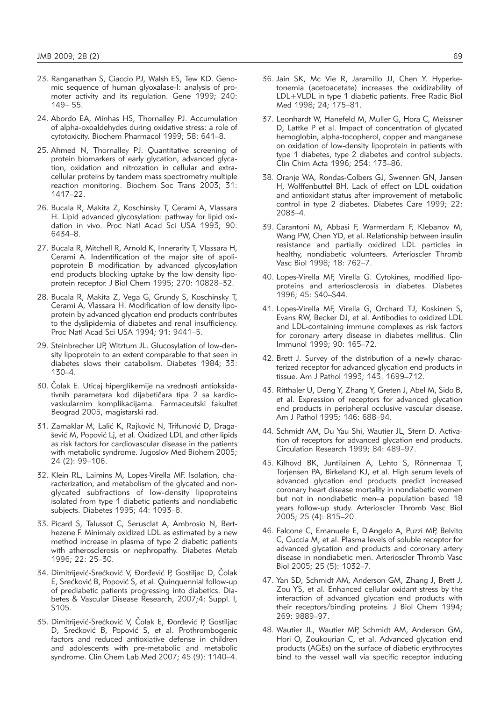- 23. Ranganathan S, Ciaccio PJ, Walsh ES, Tew KD. Genomic sequence of human glyoxalase-I: analysis of promoter activity and its regulation. Gene 1999; 240: 149– 55.
- 24. Abordo EA, Minhas HS, Thornalley PJ. Accumulation of alpha-oxoaldehydes during oxidative stress: a role of cytotoxicity. Biochem Pharmacol 1999; 58: 641–8.
- 25. Ahmed N, Thornalley PJ. Quantitative screening of protein biomarkers of early glycation, advanced glycation, oxidation and nitrozation in cellular and extracellular proteins by tandem mass spectrometry multiple reaction monitoring. Biochem Soc Trans 2003; 31: 1417–22.
- 26. Bucala R, Makita Z, Koschinsky T, Cerami A, Vlassara H. Lipid advanced glycosylation: pathway for lipid oxida tion in vivo. Proc Natl Acad Sci USA 1993; 90: 6434–8.
- 27. Bucala R, Mitchell R, Arnold K, Innerarity T, Vlassara H, Cerami A. Indentification of the major site of apolipoprotein B modification by advanced glycosylation end products blocking uptake by the low density lipoprotein receptor. J Biol Chem 1995; 270: 10828–32.
- 28. Bucala R, Makita Z, Vega G, Grundy S, Koschinsky T, Cerami A, Vlassara H. Modification of low density lipoprotein by advanced glycation end products contributes to the dyslipidemia of diabetes and renal insufficiency. Proc Natl Acad Sci USA 1994; 91: 9441–5.
- 29. Steinbrecher UP, Witztum JL. Glucosylation of low-density lipoprotein to an extent comparable to that seen in diabetes slows their catabolism. Diabetes 1984; 33: 130–4.
- 30. Čolak E. Uticaj hiperglikemije na vrednosti antioksidativnih parametara kod dijabetičara tipa 2 sa kardiovaskularnim komplikacijama. Farmaceutski fakultet Beograd 2005, magistarski rad.
- 31. Zamaklar M, Lalić K, Rajković N, Trifunović D, Dragašević M, Popović Lj, et al. Oxidized LDL and other lipids as risk factors for cardiovascular disease in the patients with metabolic syndrome. Jugoslov Med Biohem 2005; 24 (2): 99–106.
- 32. Klein RL, Laimins M, Lopes-Virella MF. Isolation, cha racterization, and metabolism of the glycated and nonglycated subfractions of low-density lipoproteins isolated from type 1 diabetic patients and nondiabetic subjects. Diabetes 1995; 44: 1093–8.
- 33. Picard S, Talussot C, Serusclat A, Ambrosio N, Berthezene F. Minimaly oxidized LDL as estimated by a new method increase in plasma of type 2 diabetic patients with atherosclerosis or nephropathy. Diabetes Metab 1996; 22: 25–30.
- 34. Dimitrijević-Srećković V, Đorđević P, Gostiliac D, Čolak E, Srećković B, Popović S, et al. Quinquennial follow-up of prediabetic patients progressing into diabetics. Dia betes & Vascular Disease Research, 2007;4: Suppl. l, S105.
- 35. Dimitrijević-Srećković V, Čolak E, Đorđević P, Gostiljac D, Srećković B, Popović S, et al. Prothrombogenic factors and reduced antioxiative defense in children and adolescents with pre-metabolic and metabolic syndrome. Clin Chem Lab Med 2007; 45 (9): 1140–4.
- 36. Jain SK, Mc Vie R, Jaramillo JJ, Chen Y. Hyperketonemia (acetoacetate) increases the oxidizability of LDL+VLDL in type 1 diabetic patients. Free Radic Biol Med 1998; 24; 175–81.
- 37. Leonhardt W, Hanefeld M, Muller G, Hora C, Meissner D, Lattke P et al. Impact of concentration of glycated hemoglobin, alpha-tocopherol, copper and manganese on oxidation of low-density lipoprotein in patients with type 1 diabetes, type 2 diabetes and control subjects. Clin Chim Acta 1996; 254: 173–86.
- 38. Oranje WA, Rondas-Colbers GJ, Swennen GN, Jansen H, Wolffenbuttel BH. Lack of effect on LDL oxidation and antioxidant status after improvement of metabolic control in type 2 diabetes. Diabetes Care 1999; 22: 2083–4.
- 39. Carantoni M, Abbasi F, Warmerdam F, Klebanov M, Wang PW, Chen YD, et al. Relationship between insulin resistance and partially oxidized LDL particles in healthy, nondiabetic volunteers. Arterioscler Thromb Vasc Biol 1998; 18: 762–7.
- 40. Lopes-Virella MF, Virella G. Cytokines, modified lipoproteins and arteriosclerosis in diabetes. Diabetes 1996; 45: S40–S44.
- 41. Lopes-Virella MF, Virella G, Orchard TJ, Koskinen S, Evans RW, Becker DJ, et al. Antibodies to oxidized LDL and LDL-containing immune complexes as risk factors for coronary artery disease in diabetes mellitus. Clin Immunol 1999; 90: 165–72.
- 42. Brett J. Survey of the distribution of a newly characterized receptor for advanced glycation end products in tissue. Am J Pathol 1993; 143: 1699–712.
- 43. Ritthaler U, Deng Y, Zhang Y, Greten J, Abel M, Sido B, et al. Expression of receptors for advanced glycation end products in peripheral occlusive vascular disease. Am J Pathol 1995; 146: 688–94.
- 44. Schmidt AM, Du Yau Shi, Wautier JL, Stern D. Activation of receptors for advanced glycation end products. Circulation Research 1999; 84: 489–97.
- 45. Kilhovd BK, Juntilainen A, Lehto S, Rönnemaa T, Torjensen PA, Birkeland KJ, et al. High serum levels of advanced glycation end products predict increased coronary heart disease mortality in nondiabetic women but not in nondiabetic men–a population based 18 years follow-up study. Arterioscler Thromb Vasc Biol 2005; 25 (4): 815–20.
- 46. Falcone C, Emanuele E, D'Angelo A, Puzzi MP, Belvito C, Cuccia M, et al. Plasma levels of soluble receptor for advanced glycation end products and coronary artery disease in nondiabetic men. Arterioscler Thromb Vasc Biol 2005; 25 (5): 1032–7.
- 47. Yan SD, Schmidt AM, Anderson GM, Zhang J, Brett J, Zou YS, et al. Enhanced cellular oxidant stress by the interaction of advanced glycation end products with their receptors/binding proteins. J Biol Chem 1994; 269: 9889–97.
- 48. Wautier JL, Wautier MP, Schmidt AM, Anderson GM, Hori O, Zoukourian C, et al. Advanced glycation end products (AGEs) on the surface of diabetic erythrocytes bind to the vessel wall via specific receptor inducing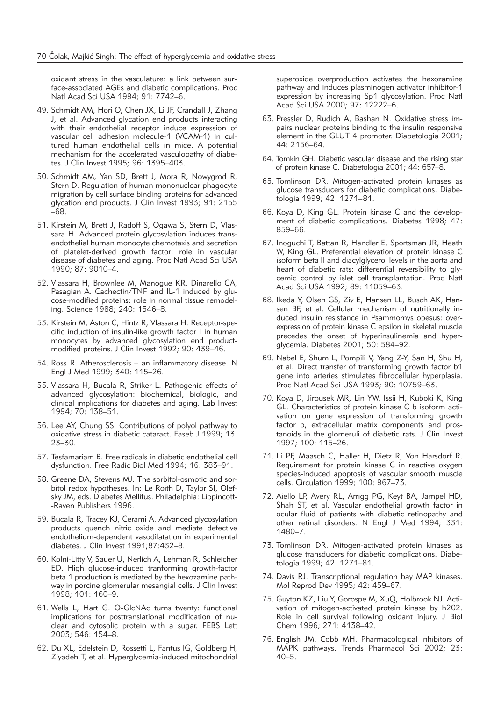oxidant stress in the vasculature: a link between surface-associated AGEs and diabetic complications. Proc Natl Acad Sci USA 1994; 91: 7742–6.

- 49. Schmidt AM, Hori O, Chen JX, Li JF, Crandall J, Zhang J, et al. Advanced glycation end products interacting with their endothelial receptor induce expression of vascular cell adhesion molecule-1 (VCAM-1) in cultured human endothelial cells in mice. A potential mechanism for the accelerated vasculopathy of diabetes. J Clin Invest 1995; 96: 1395–403.
- 50. Schmidt AM, Yan SD, Brett J, Mora R, Nowygrod R, Stern D. Regulation of human mononuclear phagocyte migration by cell surface binding proteins for advanced glycation end products. J Clin Invest 1993; 91: 2155 –68.
- 51. Kirstein M, Brett J, Radoff S, Ogawa S, Stern D, Vlassara H. Advanced protein glycosylation induces transen dothelial human monocyte chemotaxis and secretion of platelet-derived growth factor: role in vascular disease of diabetes and aging. Proc Natl Acad Sci USA 1990; 87: 9010–4.
- 52. Vlassara H, Brownlee M, Manogue KR, Dinarello CA, Pasagian A. Cachectin/TNF and IL-1 induced by glucose-modified proteins: role in normal tissue remodeling. Science 1988; 240: 1546–8.
- 53. Kirstein M, Aston C, Hintz R, Vlassara H. Receptor-specific induction of insulin-like growth factor I in human monocytes by advanced glycosylation end productmodified proteins. J Clin Invest 1992; 90: 439–46.
- 54. Ross R. Atherosclerosis an inflammatory disease. N Engl J Med 1999; 340: 115–26.
- 55. Vlassara H, Bucala R, Striker L. Pathogenic effects of advanced glycosylation: biochemical, biologic, and clinical implications for diabetes and aging. Lab Invest 1994; 70: 138–51.
- 56. Lee AY, Chung SS. Contributions of polyol pathway to oxidative stress in diabetic cataract. Faseb J 1999; 13: 23–30.
- 57. Tesfamariam B. Free radicals in diabetic endothelial cell dysfunction. Free Radic Biol Med 1994; 16: 383–91.
- 58. Greene DA, Stevens MJ. The sorbitol-osmotic and sor bitol redox hypotheses. In: Le Roith D, Taylor SI, Olefsky JM, eds. Diabetes Mellitus. Philadelphia: Lippincott--Raven Publishers 1996.
- 59. Bucala R, Tracey KJ, Cerami A. Advanced glycosylation products quench nitric oxide and mediate defective endothelium-dependent vasodilatation in experimental diabetes. J Clin Invest 1991;87:432–8.
- 60. Kolni-Litty V, Sauer U, Nerlich A, Lehman R, Schleicher ED. High glucose-induced tranforming growth-factor beta 1 production is mediated by the hexozamine pathway in porcine glomerular mesangial cells. J Clin Invest 1998; 101: 160–9.
- 61. Wells L, Hart G. O-GlcNAc turns twenty: functional implications for posttranslational modification of nuclear and cytosolic protein with a sugar. FEBS Lett 2003; 546: 154–8.
- 62. Du XL, Edelstein D, Rossetti L, Fantus IG, Goldberg H, Ziyadeh T, et al. Hyperglycemia-induced mitochondrial

superoxide overproduction activates the hexozamine pathway and induces plasminogen activator inhibitor-1 expression by increasing Sp1 glycosylation. Proc Natl Acad Sci USA 2000; 97: 12222–6.

- 63. Pressler D, Rudich A, Bashan N. Oxidative stress im pairs nuclear proteins binding to the insulin responsive element in the GLUT 4 promoter. Diabetologia 2001; 44: 2156–64.
- 64. Tomkin GH. Diabetic vascular disease and the rising star of protein kinase C. Diabetologia 2001; 44: 657–8.
- 65. Tomlinson DR. Mitogen-activated protein kinases as glucose transducers for diabetic complications. Diabeto logia 1999; 42: 1271–81.
- 66. Koya D, King GL. Protein kinase C and the development of diabetic complications. Diabetes 1998; 47: 859–66.
- 67. Inoguchi T, Battan R, Handler E, Sportsman JR, Heath W, King GL. Preferential elevation of protein kinase C isoform beta II and diacylglycerol levels in the aorta and heart of diabetic rats: differential reversibility to glycemic control by islet cell transplantation. Proc Natl Acad Sci USA 1992; 89: 11059–63.
- 68. Ikeda Y, Olsen GS, Ziv E, Hansen LL, Busch AK, Hansen BF, et al. Cellular mechanism of nutritionally induced insulin resistance in Psammomys obesus: over expression of protein kinase C epsilon in skeletal muscle precedes the onset of hyperinsulinemia and hyperglycemia. Diabetes 2001; 50: 584–92.
- 69. Nabel E, Shum L, Pompili V, Yang Z-Y, San H, Shu H, et al. Direct transfer of transforming growth factor b1 gene into arteries stimulates fibrocellular hyperplasia. Proc Natl Acad Sci USA 1993; 90: 10759–63.
- 70. Koya D, Jirousek MR, Lin YW, Issii H, Kuboki K, King GL. Characteristics of protein kinase C b isoform activation on gene expression of transforming growth factor b, extracellular matrix components and prostanoids in the glomeruli of diabetic rats. J Clin Invest 1997; 100: 115–26.
- 71. Li PF, Maasch C, Haller H, Dietz R, Von Harsdorf R. Requirement for protein kinase C in reactive oxygen species-induced apoptosis of vascular smooth muscle cells. Circulation 1999; 100: 967–73.
- 72. Aiello LP, Avery RL, Arrigg PG, Keyt BA, Jampel HD, Shah ST, et al. Vascular endothelial growth factor in ocular fluid of patients with diabetic retinopathy and other retinal disorders. N Engl J Med 1994; 331: 1480–7.
- 73. Tomlinson DR. Mitogen-activated protein kinases as glucose transducers for diabetic complications. Diabetologia 1999; 42: 1271–81.
- 74. Davis RJ. Transcriptional regulation bay MAP kinases. Mol Reprod Dev 1995; 42: 459–67.
- 75. Guyton KZ, Liu Y, Gorospe M, XuQ, Holbrook NJ. Activation of mitogen-activated protein kinase by h202. Role in cell survival following oxidant injury. J Biol Chem 1996; 271: 4138–42.
- 76. English JM, Cobb MH. Pharmacological inhibitors of MAPK pathways. Trends Pharmacol Sci 2002; 23: 40–5.